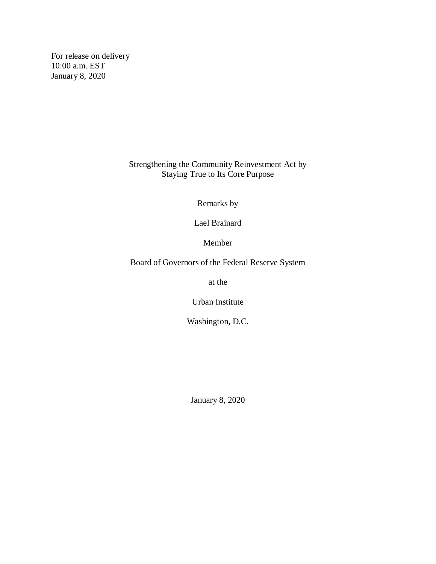For release on delivery 10:00 a.m. EST January 8, 2020

> Strengthening the Community Reinvestment Act by Staying True to Its Core Purpose

> > Remarks by

Lael Brainard

Member

Board of Governors of the Federal Reserve System

at the

Urban Institute

Washington, D.C.

January 8, 2020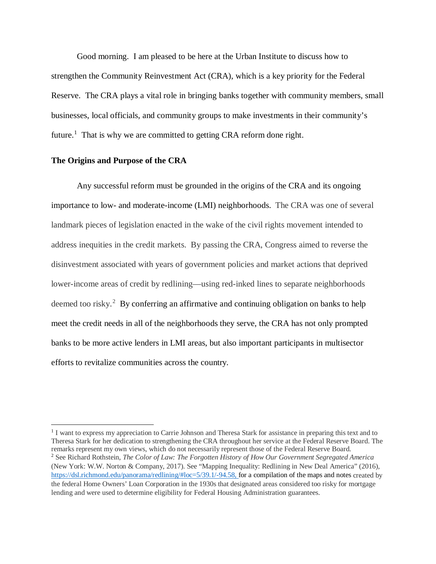Good morning. I am pleased to be here at the Urban Institute to discuss how to strengthen the Community Reinvestment Act (CRA), which is a key priority for the Federal Reserve. The CRA plays a vital role in bringing banks together with community members, small businesses, local officials, and community groups to make investments in their community's future.<sup>[1](#page-1-0)</sup> That is why we are committed to getting CRA reform done right.

### **The Origins and Purpose of the CRA**

l

Any successful reform must be grounded in the origins of the CRA and its ongoing importance to low- and moderate-income (LMI) neighborhoods. The CRA was one of several landmark pieces of legislation enacted in the wake of the civil rights movement intended to address inequities in the credit markets. By passing the CRA, Congress aimed to reverse the disinvestment associated with years of government policies and market actions that deprived lower-income areas of credit by redlining—using red-inked lines to separate neighborhoods deemed too risky.<sup>[2](#page-1-1)</sup> By conferring an affirmative and continuing obligation on banks to help meet the credit needs in all of the neighborhoods they serve, the CRA has not only prompted banks to be more active lenders in LMI areas, but also important participants in multisector efforts to revitalize communities across the country.

<span id="page-1-1"></span><span id="page-1-0"></span><sup>1</sup> I want to express my appreciation to Carrie Johnson and Theresa Stark for assistance in preparing this text and to Theresa Stark for her dedication to strengthening the CRA throughout her service at the Federal Reserve Board. The remarks represent my own views, which do not necessarily represent those of the Federal Reserve Board. <sup>2</sup> See Richard Rothstein, *The Color of Law: The Forgotten History of How Our Government Segregated America*  (New York: W.W. Norton & Company, 2017). See "Mapping Inequality: Redlining in New Deal America" (2016), [https://dsl.richmond.edu/panorama/redlining/#loc=5/39.1/-94.58,](https://dsl.richmond.edu/panorama/redlining/#loc=5/39.1/-94.58) for a compilation of the maps and notes created by the federal Home Owners' Loan Corporation in the 1930s that designated areas considered too risky for mortgage lending and were used to determine eligibility for Federal Housing Administration guarantees.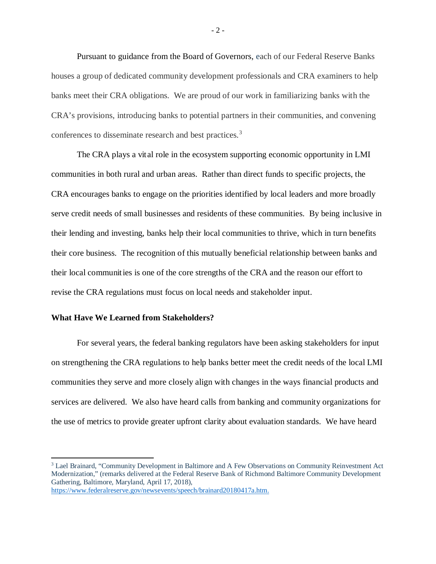Pursuant to guidance from the Board of Governors, each of our Federal Reserve Banks houses a group of dedicated community development professionals and CRA examiners to help banks meet their CRA obligations. We are proud of our work in familiarizing banks with the CRA's provisions, introducing banks to potential partners in their communities, and convening conferences to disseminate research and best practices. [3](#page-2-0)

The CRA plays a vital role in the ecosystem supporting economic opportunity in LMI communities in both rural and urban areas. Rather than direct funds to specific projects, the CRA encourages banks to engage on the priorities identified by local leaders and more broadly serve credit needs of small businesses and residents of these communities. By being inclusive in their lending and investing, banks help their local communities to thrive, which in turn benefits their core business. The recognition of this mutually beneficial relationship between banks and their local communities is one of the core strengths of the CRA and the reason our effort to revise the CRA regulations must focus on local needs and stakeholder input.

### **What Have We Learned from Stakeholders?**

For several years, the federal banking regulators have been asking stakeholders for input on strengthening the CRA regulations to help banks better meet the credit needs of the local LMI communities they serve and more closely align with changes in the ways financial products and services are delivered. We also have heard calls from banking and community organizations for the use of metrics to provide greater upfront clarity about evaluation standards. We have heard

 $-2-$ 

<span id="page-2-0"></span><sup>&</sup>lt;sup>3</sup> Lael Brainard, "Community Development in Baltimore and A Few Observations on Community Reinvestment Act Modernization," (remarks delivered at the Federal Reserve Bank of Richmond Baltimore Community Development Gathering, Baltimore, Maryland, April 17, 2018),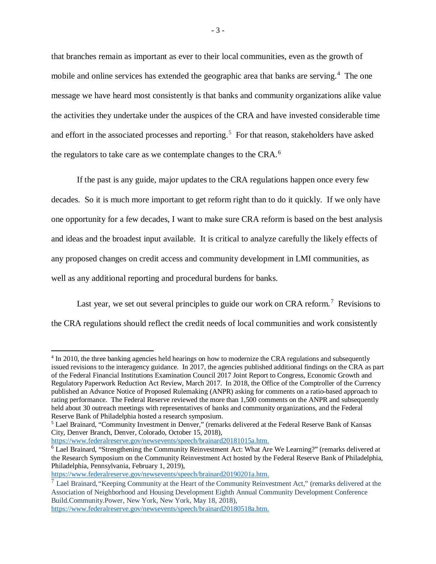that branches remain as important as ever to their local communities, even as the growth of mobile and online services has extended the geographic area that banks are serving.<sup>[4](#page-3-0)</sup> The one message we have heard most consistently is that banks and community organizations alike value the activities they undertake under the auspices of the CRA and have invested considerable time and effort in the associated processes and reporting. [5](#page-3-1) For that reason, stakeholders have asked the regulators to take care as we contemplate changes to the CRA.<sup>[6](#page-3-2)</sup>

If the past is any guide, major updates to the CRA regulations happen once every few decades. So it is much more important to get reform right than to do it quickly. If we only have one opportunity for a few decades, I want to make sure CRA reform is based on the best analysis and ideas and the broadest input available. It is critical to analyze carefully the likely effects of any proposed changes on credit access and community development in LMI communities, as well as any additional reporting and procedural burdens for banks.

Last year, we set out several principles to guide our work on CRA reform.<sup>[7](#page-3-3)</sup> Revisions to the CRA regulations should reflect the credit needs of local communities and work consistently

l

<span id="page-3-0"></span><sup>4</sup> In 2010, the three banking agencies held hearings on how to modernize the CRA regulations and subsequently issued revisions to the interagency guidance. In 2017, the agencies published additional findings on the CRA as part of the Federal Financial Institutions Examination Council 2017 Joint Report to Congress, Economic Growth and Regulatory Paperwork Reduction Act Review, March 2017. In 2018, the Office of the Comptroller of the Currency published an Advance Notice of Proposed Rulemaking (ANPR) asking for comments on a ratio-based approach to rating performance. The Federal Reserve reviewed the more than 1,500 comments on the ANPR and subsequently held about 30 outreach meetings with representatives of banks and community organizations, and the Federal Reserve Bank of Philadelphia hosted a research symposium.<br><sup>5</sup> Lael Brainard, "Community Investment in Denver," (remarks delivered at the Federal Reserve Bank of Kansas

<span id="page-3-1"></span>City, Denver Branch, Denver, Colorado, October 15, 2018),

[https://www.federalreserve.gov/newsevents/speech/brainard20181015a.htm.](https://www.federalreserve.gov/newsevents/speech/brainard20181015a.htm)

<span id="page-3-2"></span><sup>6</sup> Lael Brainard, "Strengthening the Community Reinvestment Act: What Are We Learning?" (remarks delivered at the Research Symposium on the Community Reinvestment Act hosted by the Federal Reserve Bank of Philadelphia, Philadelphia, Pennsylvania, February 1, 2019),

[https://www.federalreserve.gov/newsevents/speech/brainard20190201a.htm.](https://www.federalreserve.gov/newsevents/speech/brainard20190201a.htm)

<span id="page-3-3"></span><sup>7</sup> Lael Brainard,*"*Keeping Community at the Heart of the Community Reinvestment Act*,*" (remarks delivered at the Association of Neighborhood and Housing Development Eighth Annual Community Development Conference Build.Community.Power, New York, New York, May 18, 2018),

[https://www.federalreserve.gov/newsevents/speech/brainard20180518a.htm.](https://www.federalreserve.gov/newsevents/speech/brainard20180518a.htm)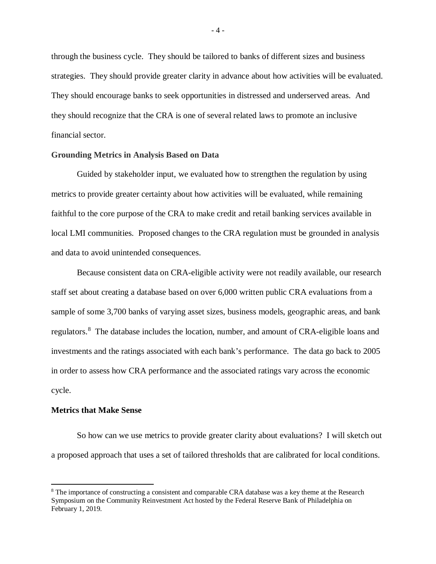through the business cycle. They should be tailored to banks of different sizes and business strategies. They should provide greater clarity in advance about how activities will be evaluated. They should encourage banks to seek opportunities in distressed and underserved areas. And they should recognize that the CRA is one of several related laws to promote an inclusive financial sector.

### **Grounding Metrics in Analysis Based on Data**

Guided by stakeholder input, we evaluated how to strengthen the regulation by using metrics to provide greater certainty about how activities will be evaluated, while remaining faithful to the core purpose of the CRA to make credit and retail banking services available in local LMI communities. Proposed changes to the CRA regulation must be grounded in analysis and data to avoid unintended consequences.

Because consistent data on CRA-eligible activity were not readily available, our research staff set about creating a database based on over 6,000 written public CRA evaluations from a sample of some 3,700 banks of varying asset sizes, business models, geographic areas, and bank regulators.<sup>[8](#page-4-0)</sup> The database includes the location, number, and amount of CRA-eligible loans and investments and the ratings associated with each bank's performance. The data go back to 2005 in order to assess how CRA performance and the associated ratings vary across the economic cycle.

### **Metrics that Make Sense**

 $\overline{a}$ 

So how can we use metrics to provide greater clarity about evaluations? I will sketch out a proposed approach that uses a set of tailored thresholds that are calibrated for local conditions.

 $-4-$ 

<span id="page-4-0"></span><sup>&</sup>lt;sup>8</sup> The importance of constructing a consistent and comparable CRA database was a key theme at the Research Symposium on the Community Reinvestment Act hosted by the Federal Reserve Bank of Philadelphia on February 1, 2019.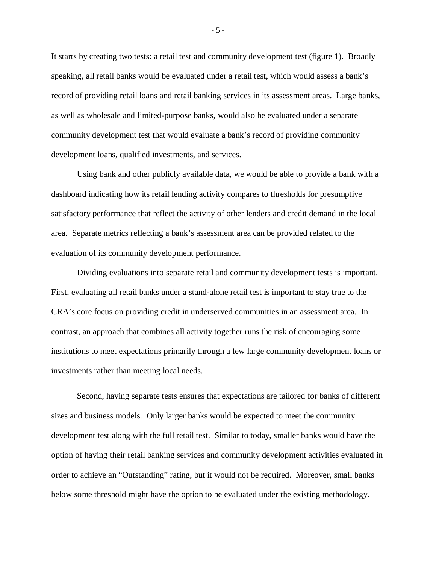It starts by creating two tests: a retail test and community development test (figure 1). Broadly speaking, all retail banks would be evaluated under a retail test, which would assess a bank's record of providing retail loans and retail banking services in its assessment areas. Large banks, as well as wholesale and limited-purpose banks, would also be evaluated under a separate community development test that would evaluate a bank's record of providing community development loans, qualified investments, and services.

Using bank and other publicly available data, we would be able to provide a bank with a dashboard indicating how its retail lending activity compares to thresholds for presumptive satisfactory performance that reflect the activity of other lenders and credit demand in the local area. Separate metrics reflecting a bank's assessment area can be provided related to the evaluation of its community development performance.

Dividing evaluations into separate retail and community development tests is important. First, evaluating all retail banks under a stand-alone retail test is important to stay true to the CRA's core focus on providing credit in underserved communities in an assessment area. In contrast, an approach that combines all activity together runs the risk of encouraging some institutions to meet expectations primarily through a few large community development loans or investments rather than meeting local needs.

Second, having separate tests ensures that expectations are tailored for banks of different sizes and business models. Only larger banks would be expected to meet the community development test along with the full retail test. Similar to today, smaller banks would have the option of having their retail banking services and community development activities evaluated in order to achieve an "Outstanding" rating, but it would not be required. Moreover, small banks below some threshold might have the option to be evaluated under the existing methodology.

- 5 -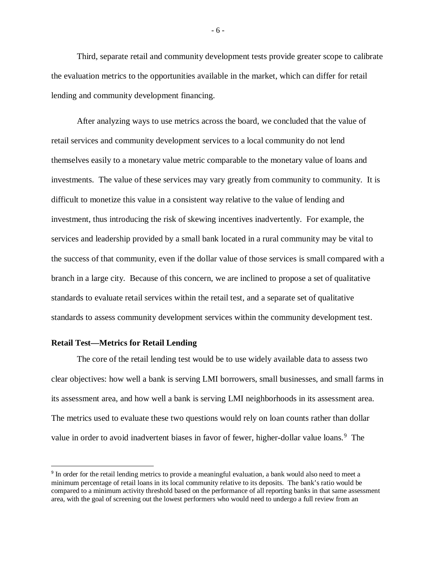Third, separate retail and community development tests provide greater scope to calibrate the evaluation metrics to the opportunities available in the market, which can differ for retail lending and community development financing.

After analyzing ways to use metrics across the board, we concluded that the value of retail services and community development services to a local community do not lend themselves easily to a monetary value metric comparable to the monetary value of loans and investments. The value of these services may vary greatly from community to community. It is difficult to monetize this value in a consistent way relative to the value of lending and investment, thus introducing the risk of skewing incentives inadvertently. For example, the services and leadership provided by a small bank located in a rural community may be vital to the success of that community, even if the dollar value of those services is small compared with a branch in a large city. Because of this concern, we are inclined to propose a set of qualitative standards to evaluate retail services within the retail test, and a separate set of qualitative standards to assess community development services within the community development test.

### **Retail Test—Metrics for Retail Lending**

The core of the retail lending test would be to use widely available data to assess two clear objectives: how well a bank is serving LMI borrowers, small businesses, and small farms in its assessment area, and how well a bank is serving LMI neighborhoods in its assessment area. The metrics used to evaluate these two questions would rely on loan counts rather than dollar value in order to avoid inadvertent biases in favor of fewer, higher-dollar value loans.<sup>[9](#page-6-0)</sup> The

- 6 -

<span id="page-6-0"></span> <sup>9</sup> In order for the retail lending metrics to provide a meaningful evaluation, a bank would also need to meet <sup>a</sup> minimum percentage of retail loans in its local community relative to its deposits. The bank's ratio would be compared to a minimum activity threshold based on the performance of all reporting banks in that same assessment area, with the goal of screening out the lowest performers who would need to undergo a full review from an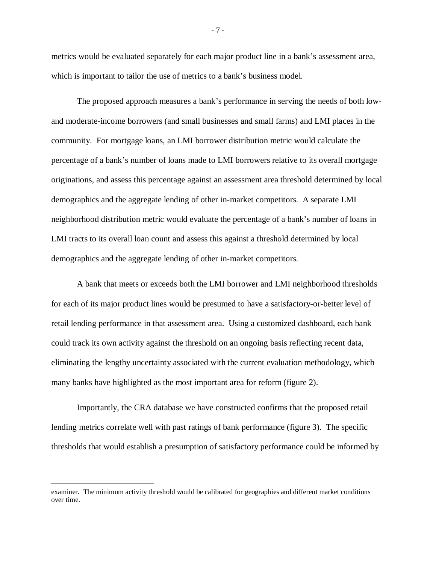metrics would be evaluated separately for each major product line in a bank's assessment area, which is important to tailor the use of metrics to a bank's business model.

The proposed approach measures a bank's performance in serving the needs of both lowand moderate-income borrowers (and small businesses and small farms) and LMI places in the community. For mortgage loans, an LMI borrower distribution metric would calculate the percentage of a bank's number of loans made to LMI borrowers relative to its overall mortgage originations, and assess this percentage against an assessment area threshold determined by local demographics and the aggregate lending of other in-market competitors. A separate LMI neighborhood distribution metric would evaluate the percentage of a bank's number of loans in LMI tracts to its overall loan count and assess this against a threshold determined by local demographics and the aggregate lending of other in-market competitors.

A bank that meets or exceeds both the LMI borrower and LMI neighborhood thresholds for each of its major product lines would be presumed to have a satisfactory-or-better level of retail lending performance in that assessment area. Using a customized dashboard, each bank could track its own activity against the threshold on an ongoing basis reflecting recent data, eliminating the lengthy uncertainty associated with the current evaluation methodology, which many banks have highlighted as the most important area for reform (figure 2).

Importantly, the CRA database we have constructed confirms that the proposed retail lending metrics correlate well with past ratings of bank performance (figure 3). The specific thresholds that would establish a presumption of satisfactory performance could be informed by

l

- 7 -

examiner. The minimum activity threshold would be calibrated for geographies and different market conditions over time.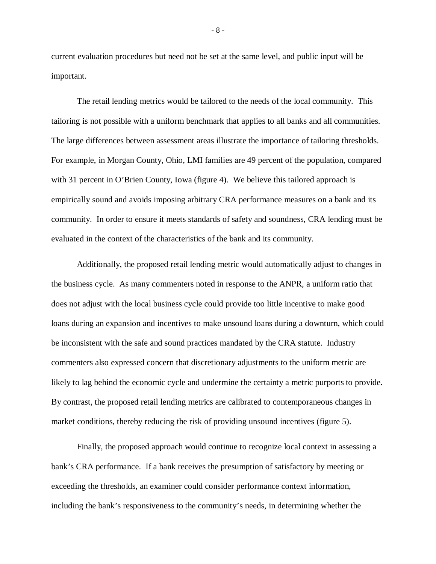current evaluation procedures but need not be set at the same level, and public input will be important.

The retail lending metrics would be tailored to the needs of the local community. This tailoring is not possible with a uniform benchmark that applies to all banks and all communities. The large differences between assessment areas illustrate the importance of tailoring thresholds. For example, in Morgan County, Ohio, LMI families are 49 percent of the population, compared with 31 percent in O'Brien County, Iowa (figure 4). We believe this tailored approach is empirically sound and avoids imposing arbitrary CRA performance measures on a bank and its community. In order to ensure it meets standards of safety and soundness, CRA lending must be evaluated in the context of the characteristics of the bank and its community.

Additionally, the proposed retail lending metric would automatically adjust to changes in the business cycle. As many commenters noted in response to the ANPR, a uniform ratio that does not adjust with the local business cycle could provide too little incentive to make good loans during an expansion and incentives to make unsound loans during a downturn, which could be inconsistent with the safe and sound practices mandated by the CRA statute. Industry commenters also expressed concern that discretionary adjustments to the uniform metric are likely to lag behind the economic cycle and undermine the certainty a metric purports to provide. By contrast, the proposed retail lending metrics are calibrated to contemporaneous changes in market conditions, thereby reducing the risk of providing unsound incentives (figure 5).

Finally, the proposed approach would continue to recognize local context in assessing a bank's CRA performance. If a bank receives the presumption of satisfactory by meeting or exceeding the thresholds, an examiner could consider performance context information, including the bank's responsiveness to the community's needs, in determining whether the

- 8 -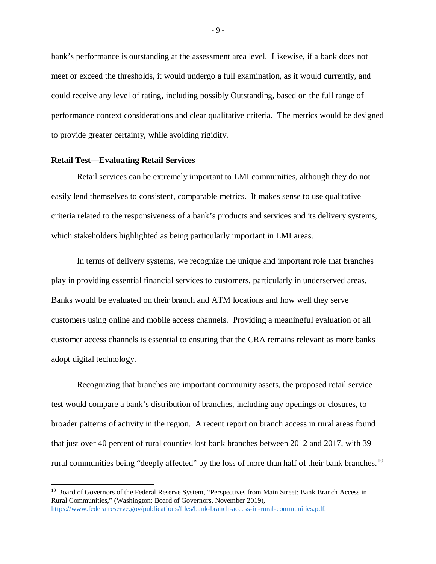bank's performance is outstanding at the assessment area level. Likewise, if a bank does not meet or exceed the thresholds, it would undergo a full examination, as it would currently, and could receive any level of rating, including possibly Outstanding, based on the full range of performance context considerations and clear qualitative criteria. The metrics would be designed to provide greater certainty, while avoiding rigidity.

#### **Retail Test—Evaluating Retail Services**

 $\overline{a}$ 

Retail services can be extremely important to LMI communities, although they do not easily lend themselves to consistent, comparable metrics. It makes sense to use qualitative criteria related to the responsiveness of a bank's products and services and its delivery systems, which stakeholders highlighted as being particularly important in LMI areas.

In terms of delivery systems, we recognize the unique and important role that branches play in providing essential financial services to customers, particularly in underserved areas. Banks would be evaluated on their branch and ATM locations and how well they serve customers using online and mobile access channels. Providing a meaningful evaluation of all customer access channels is essential to ensuring that the CRA remains relevant as more banks adopt digital technology.

Recognizing that branches are important community assets, the proposed retail service test would compare a bank's distribution of branches, including any openings or closures, to broader patterns of activity in the region. A recent report on branch access in rural areas found that just over 40 percent of rural counties lost bank branches between 2012 and 2017, with 39 rural communities being "deeply affected" by the loss of more than half of their bank branches.<sup>10</sup>

<span id="page-9-0"></span><sup>&</sup>lt;sup>10</sup> Board of Governors of the Federal Reserve System, "Perspectives from Main Street: Bank Branch Access in Rural Communities," (Washington: Board of Governors, November 2019), [https://www.federalreserve.gov/publications/files/bank-branch-access-in-rural-communities.pdf.](https://www.federalreserve.gov/publications/files/bank-branch-access-in-rural-communities.pdf)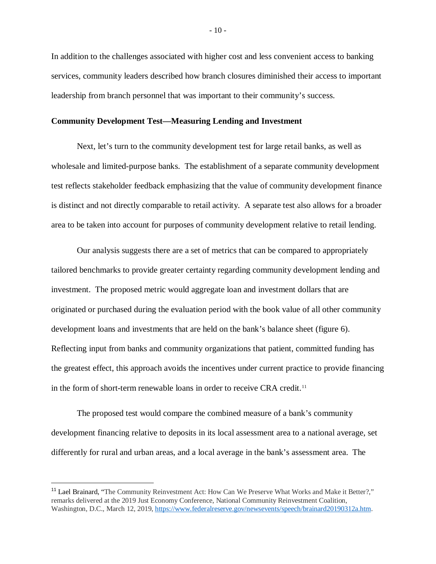In addition to the challenges associated with higher cost and less convenient access to banking services, community leaders described how branch closures diminished their access to important leadership from branch personnel that was important to their community's success.

### **Community Development Test—Measuring Lending and Investment**

Next, let's turn to the community development test for large retail banks, as well as wholesale and limited-purpose banks. The establishment of a separate community development test reflects stakeholder feedback emphasizing that the value of community development finance is distinct and not directly comparable to retail activity. A separate test also allows for a broader area to be taken into account for purposes of community development relative to retail lending.

Our analysis suggests there are a set of metrics that can be compared to appropriately tailored benchmarks to provide greater certainty regarding community development lending and investment. The proposed metric would aggregate loan and investment dollars that are originated or purchased during the evaluation period with the book value of all other community development loans and investments that are held on the bank's balance sheet (figure 6). Reflecting input from banks and community organizations that patient, committed funding has the greatest effect, this approach avoids the incentives under current practice to provide financing in the form of short-term renewable loans in order to receive CRA credit.<sup>[11](#page-10-0)</sup>

The proposed test would compare the combined measure of a bank's community development financing relative to deposits in its local assessment area to a national average, set differently for rural and urban areas, and a local average in the bank's assessment area. The

<span id="page-10-0"></span><sup>&</sup>lt;sup>11</sup> Lael Brainard, "The Community Reinvestment Act: How Can We Preserve What Works and Make it Better?," remarks delivered at the 2019 Just Economy Conference, National Community Reinvestment Coalition, Washington, D.C., March 12, 2019, [https://www.federalreserve.gov/newsevents/speech/brainard20190312a.htm.](https://www.federalreserve.gov/newsevents/speech/brainard20190312a.htm)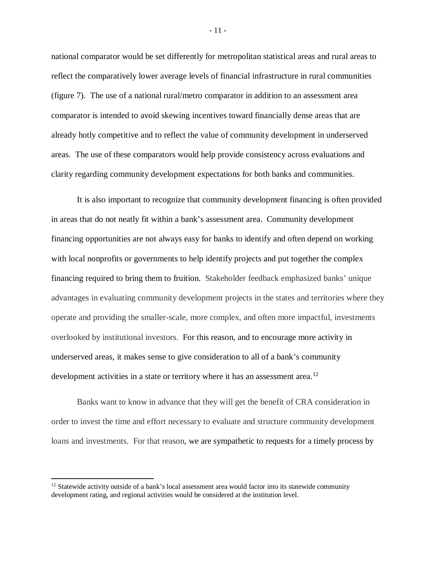national comparator would be set differently for metropolitan statistical areas and rural areas to reflect the comparatively lower average levels of financial infrastructure in rural communities (figure 7). The use of a national rural/metro comparator in addition to an assessment area comparator is intended to avoid skewing incentives toward financially dense areas that are already hotly competitive and to reflect the value of community development in underserved areas. The use of these comparators would help provide consistency across evaluations and clarity regarding community development expectations for both banks and communities.

It is also important to recognize that community development financing is often provided in areas that do not neatly fit within a bank's assessment area. Community development financing opportunities are not always easy for banks to identify and often depend on working with local nonprofits or governments to help identify projects and put together the complex financing required to bring them to fruition. Stakeholder feedback emphasized banks' unique advantages in evaluating community development projects in the states and territories where they operate and providing the smaller-scale, more complex, and often more impactful, investments overlooked by institutional investors. For this reason, and to encourage more activity in underserved areas, it makes sense to give consideration to all of a bank's community development activities in a state or territory where it has an assessment area.<sup>[12](#page-11-0)</sup>

Banks want to know in advance that they will get the benefit of CRA consideration in order to invest the time and effort necessary to evaluate and structure community development loans and investments. For that reason, we are sympathetic to requests for a timely process by

 $\overline{\phantom{a}}$ 

- 11 -

<span id="page-11-0"></span> $12$  Statewide activity outside of a bank's local assessment area would factor into its statewide community development rating, and regional activities would be considered at the institution level.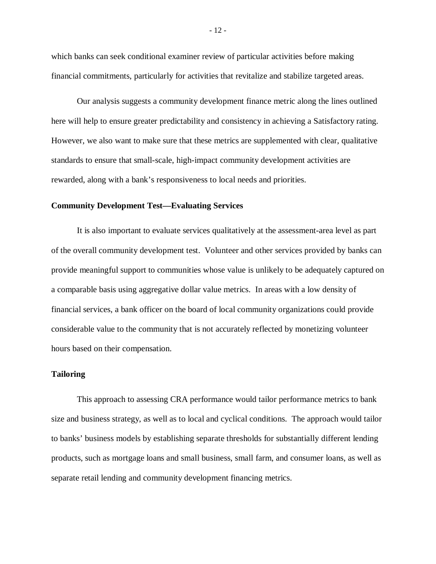which banks can seek conditional examiner review of particular activities before making financial commitments, particularly for activities that revitalize and stabilize targeted areas.

Our analysis suggests a community development finance metric along the lines outlined here will help to ensure greater predictability and consistency in achieving a Satisfactory rating. However, we also want to make sure that these metrics are supplemented with clear, qualitative standards to ensure that small-scale, high-impact community development activities are rewarded, along with a bank's responsiveness to local needs and priorities.

#### **Community Development Test—Evaluating Services**

It is also important to evaluate services qualitatively at the assessment-area level as part of the overall community development test. Volunteer and other services provided by banks can provide meaningful support to communities whose value is unlikely to be adequately captured on a comparable basis using aggregative dollar value metrics. In areas with a low density of financial services, a bank officer on the board of local community organizations could provide considerable value to the community that is not accurately reflected by monetizing volunteer hours based on their compensation.

#### **Tailoring**

This approach to assessing CRA performance would tailor performance metrics to bank size and business strategy, as well as to local and cyclical conditions. The approach would tailor to banks' business models by establishing separate thresholds for substantially different lending products, such as mortgage loans and small business, small farm, and consumer loans, as well as separate retail lending and community development financing metrics.

- 12 -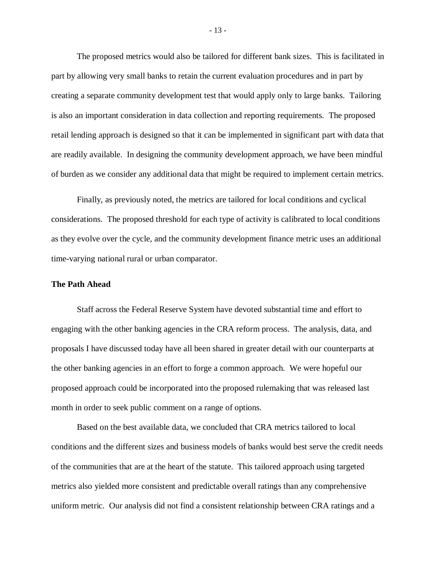The proposed metrics would also be tailored for different bank sizes. This is facilitated in part by allowing very small banks to retain the current evaluation procedures and in part by creating a separate community development test that would apply only to large banks. Tailoring is also an important consideration in data collection and reporting requirements. The proposed retail lending approach is designed so that it can be implemented in significant part with data that are readily available. In designing the community development approach, we have been mindful of burden as we consider any additional data that might be required to implement certain metrics.

Finally, as previously noted, the metrics are tailored for local conditions and cyclical considerations. The proposed threshold for each type of activity is calibrated to local conditions as they evolve over the cycle, and the community development finance metric uses an additional time-varying national rural or urban comparator.

### **The Path Ahead**

Staff across the Federal Reserve System have devoted substantial time and effort to engaging with the other banking agencies in the CRA reform process. The analysis, data, and proposals I have discussed today have all been shared in greater detail with our counterparts at the other banking agencies in an effort to forge a common approach. We were hopeful our proposed approach could be incorporated into the proposed rulemaking that was released last month in order to seek public comment on a range of options.

Based on the best available data, we concluded that CRA metrics tailored to local conditions and the different sizes and business models of banks would best serve the credit needs of the communities that are at the heart of the statute. This tailored approach using targeted metrics also yielded more consistent and predictable overall ratings than any comprehensive uniform metric. Our analysis did not find a consistent relationship between CRA ratings and a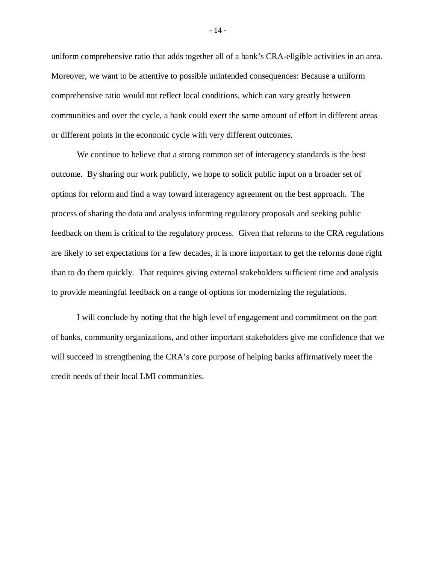uniform comprehensive ratio that adds together all of a bank's CRA-eligible activities in an area. Moreover, we want to be attentive to possible unintended consequences: Because a uniform comprehensive ratio would not reflect local conditions, which can vary greatly between communities and over the cycle, a bank could exert the same amount of effort in different areas or different points in the economic cycle with very different outcomes.

We continue to believe that a strong common set of interagency standards is the best outcome. By sharing our work publicly, we hope to solicit public input on a broader set of options for reform and find a way toward interagency agreement on the best approach. The process of sharing the data and analysis informing regulatory proposals and seeking public feedback on them is critical to the regulatory process. Given that reforms to the CRA regulations are likely to set expectations for a few decades, it is more important to get the reforms done right than to do them quickly. That requires giving external stakeholders sufficient time and analysis to provide meaningful feedback on a range of options for modernizing the regulations.

I will conclude by noting that the high level of engagement and commitment on the part of banks, community organizations, and other important stakeholders give me confidence that we will succeed in strengthening the CRA's core purpose of helping banks affirmatively meet the credit needs of their local LMI communities.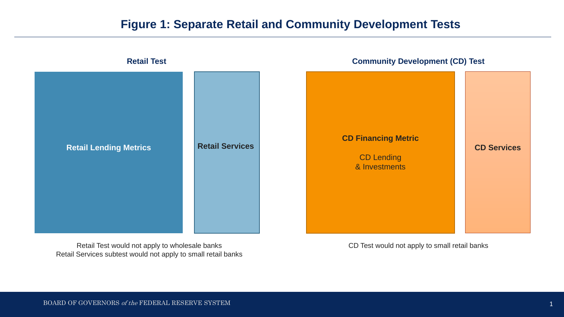### **Figure 1: Separate Retail and Community Development Tests**



Retail Test would not apply to wholesale banks Retail Services subtest would not apply to small retail banks CD Test would not apply to small retail banks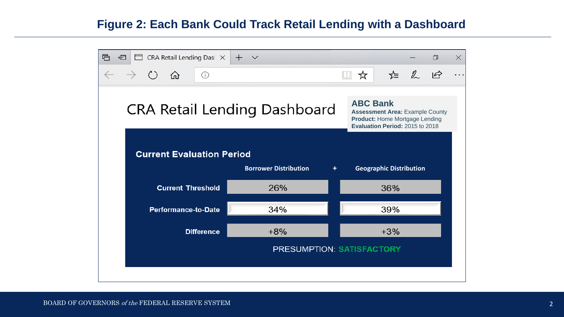# **Figure 2: Each Bank Could Track Retail Lending with a Dashboard**

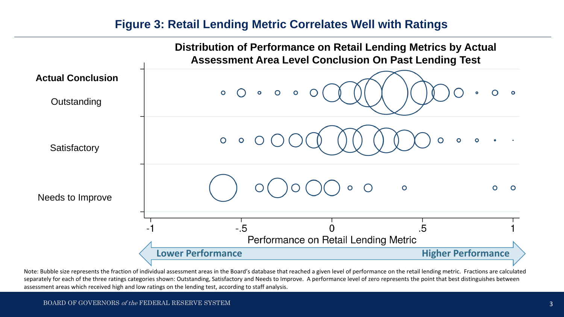### **Figure 3: Retail Lending Metric Correlates Well with Ratings**



Note: Bubble size represents the fraction of individual assessment areas in the Board's database that reached a given level of performance on the retail lending metric. Fractions are calculated separately for each of the three ratings categories shown: Outstanding, Satisfactory and Needs to Improve. A performance level of zero represents the point that best distinguishes between assessment areas which received high and low ratings on the lending test, according to staff analysis.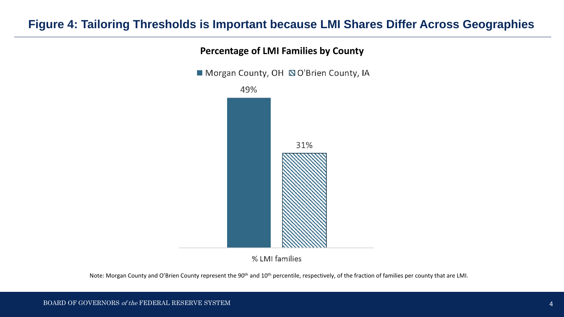# **Figure 4: Tailoring Thresholds is Important because LMI Shares Differ Across Geographies**



### **Percentage of LMI Families by County**

% LMI families

Note: Morgan County and O'Brien County represent the 90<sup>th</sup> and 10<sup>th</sup> percentile, respectively, of the fraction of families per county that are LMI.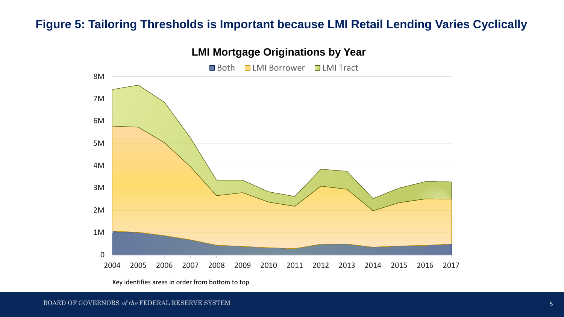# **Figure 5: Tailoring Thresholds is Important because LMI Retail Lending Varies Cyclically**

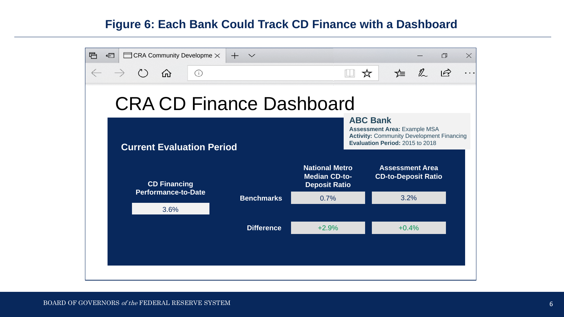# **Figure 6: Each Bank Could Track CD Finance with a Dashboard**